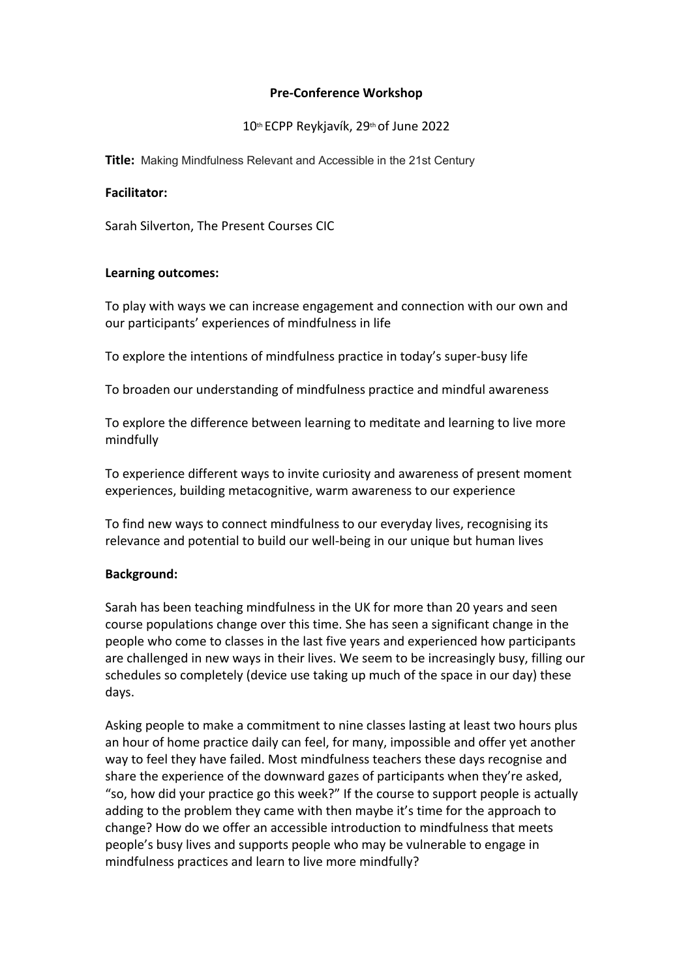## **Pre-Conference Workshop**

# 10th ECPP Reykjavík, 29th of June 2022

**Title:** Making Mindfulness Relevant and Accessible in the 21st Century

### **Facilitator:**

Sarah Silverton, The Present Courses CIC

### **Learning outcomes:**

To play with ways we can increase engagement and connection with our own and our participants' experiences of mindfulness in life

To explore the intentions of mindfulness practice in today's super-busy life

To broaden our understanding of mindfulness practice and mindful awareness

To explore the difference between learning to meditate and learning to live more mindfully

To experience different ways to invite curiosity and awareness of present moment experiences, building metacognitive, warm awareness to our experience

To find new ways to connect mindfulness to our everyday lives, recognising its relevance and potential to build our well-being in our unique but human lives

## **Background:**

Sarah has been teaching mindfulness in the UK for more than 20 years and seen course populations change over this time. She has seen a significant change in the people who come to classes in the last five years and experienced how participants are challenged in new ways in their lives. We seem to be increasingly busy, filling our schedules so completely (device use taking up much of the space in our day) these days.

Asking people to make a commitment to nine classes lasting at least two hours plus an hour of home practice daily can feel, for many, impossible and offer yet another way to feel they have failed. Most mindfulness teachers these days recognise and share the experience of the downward gazes of participants when they're asked, "so, how did your practice go this week?" If the course to support people is actually adding to the problem they came with then maybe it's time for the approach to change? How do we offer an accessible introduction to mindfulness that meets people's busy lives and supports people who may be vulnerable to engage in mindfulness practices and learn to live more mindfully?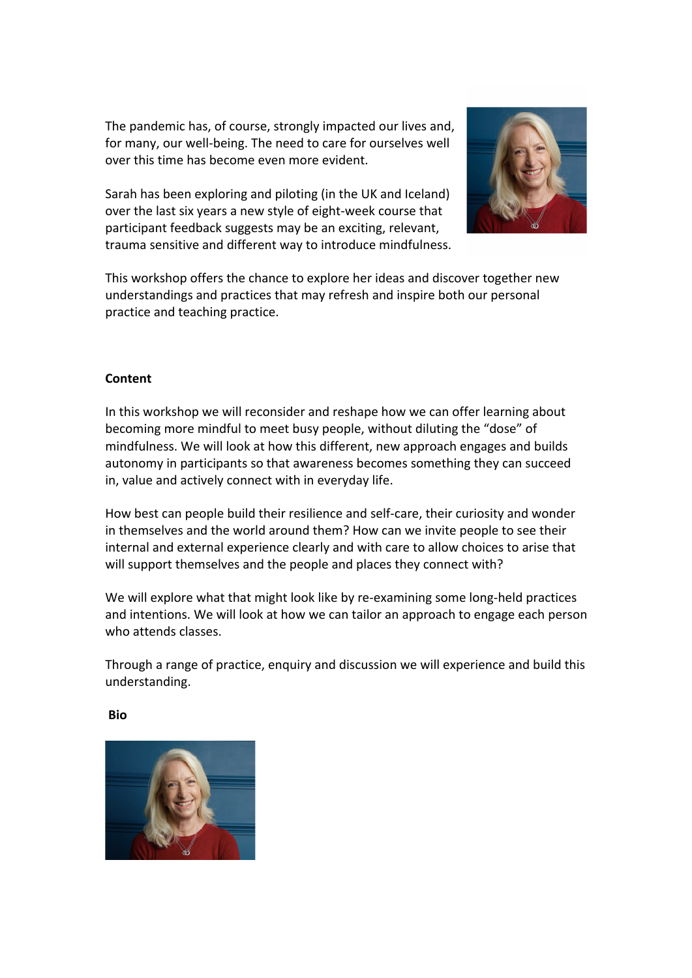The pandemic has, of course, strongly impacted our lives and, for many, our well-being. The need to care for ourselves well over this time has become even more evident.

Sarah has been exploring and piloting (in the UK and Iceland) over the last six years a new style of eight-week course that participant feedback suggests may be an exciting, relevant, trauma sensitive and different way to introduce mindfulness.



This workshop offers the chance to explore her ideas and discover together new understandings and practices that may refresh and inspire both our personal practice and teaching practice.

## **Content**

In this workshop we will reconsider and reshape how we can offer learning about becoming more mindful to meet busy people, without diluting the "dose" of mindfulness. We will look at how this different, new approach engages and builds autonomy in participants so that awareness becomes something they can succeed in, value and actively connect with in everyday life.

How best can people build their resilience and self-care, their curiosity and wonder in themselves and the world around them? How can we invite people to see their internal and external experience clearly and with care to allow choices to arise that will support themselves and the people and places they connect with?

We will explore what that might look like by re-examining some long-held practices and intentions. We will look at how we can tailor an approach to engage each person who attends classes.

Through a range of practice, enquiry and discussion we will experience and build this understanding.

**Bio**